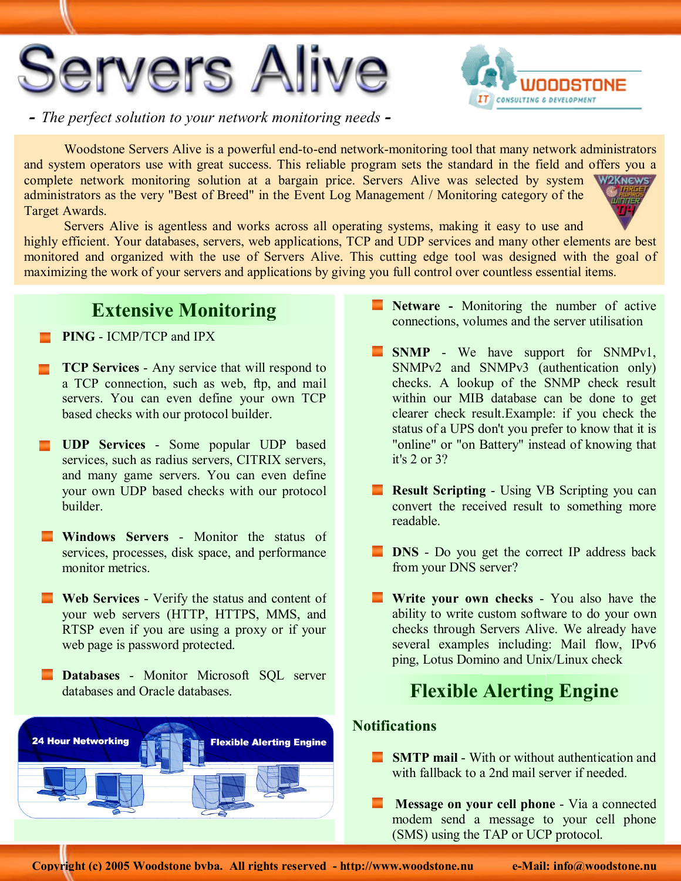



 *- The perfect solution to your network monitoring needs -*

Woodstone Servers Alive is a powerful end-to-end network-monitoring tool that many network administrators and system operators use with great success. This reliable program sets the standard in the field and offers you a complete network monitoring solution at a bargain price. Servers Alive was selected by system W2KNEWS administrators as the very "Best of Breed" in the Event Log Management / Monitoring category of the **DITTE** Target Awards.

Servers Alive is agentless and works across all operating systems, making it easy to use and highly efficient. Your databases, servers, web applications, TCP and UDP services and many other elements are best monitored and organized with the use of Servers Alive. This cutting edge tool was designed with the goal of maximizing the work of your servers and applications by giving you full control over countless essential items.

## **Extensive Monitoring**

• **PING** - ICMP/TCP and IPX

- **TCP Services** Any service that will respond to a TCP connection, such as web, ftp, and mail servers. You can even define your own TCP based checks with our protocol builder.
- **UDP Services** Some popular UDP based services, such as radius servers, CITRIX servers, and many game servers. You can even define your own UDP based checks with our protocol builder.
- **E** Windows Servers Monitor the status of services, processes, disk space, and performance monitor metrics.
- **Web Services** Verify the status and content of your web servers (HTTP, HTTPS, MMS, and RTSP even if you are using a proxy or if your web page is password protected.
- **Databases** Monitor Microsoft SQL server databases and Oracle databases.



- **Netware** Monitoring the number of active connections, volumes and the server utilisation
- **SNMP** We have support for SNMPv1, SNMPv2 and SNMPv3 (authentication only) checks. A lookup of the SNMP check result within our MIB database can be done to get clearer check result.Example: if you check the status of a UPS don't you prefer to know that it is "online" or "on Battery" instead of knowing that it's 2 or 3?
- **Result Scripting** Using VB Scripting you can convert the received result to something more readable.
- **DNS** Do you get the correct IP address back from your DNS server?
- **Write your own checks** You also have the ability to write custom software to do your own checks through Servers Alive. We already have several examples including: Mail flow, IPv6 ping, Lotus Domino and Unix/Linux check

# **Flexible Alerting Engine**

#### **Notifications**

- **SMTP mail** With or without authentication and with fallback to a 2nd mail server if needed.
- **Message on your cell phone** Via a connected modem send a message to your cell phone (SMS) using the TAP or UCP protocol.

**Copyright (c) 2005 Woodstone bvba. All rights reserved - http://www.woodstone.nu**

**e-Mail: info@woodstone.nu**